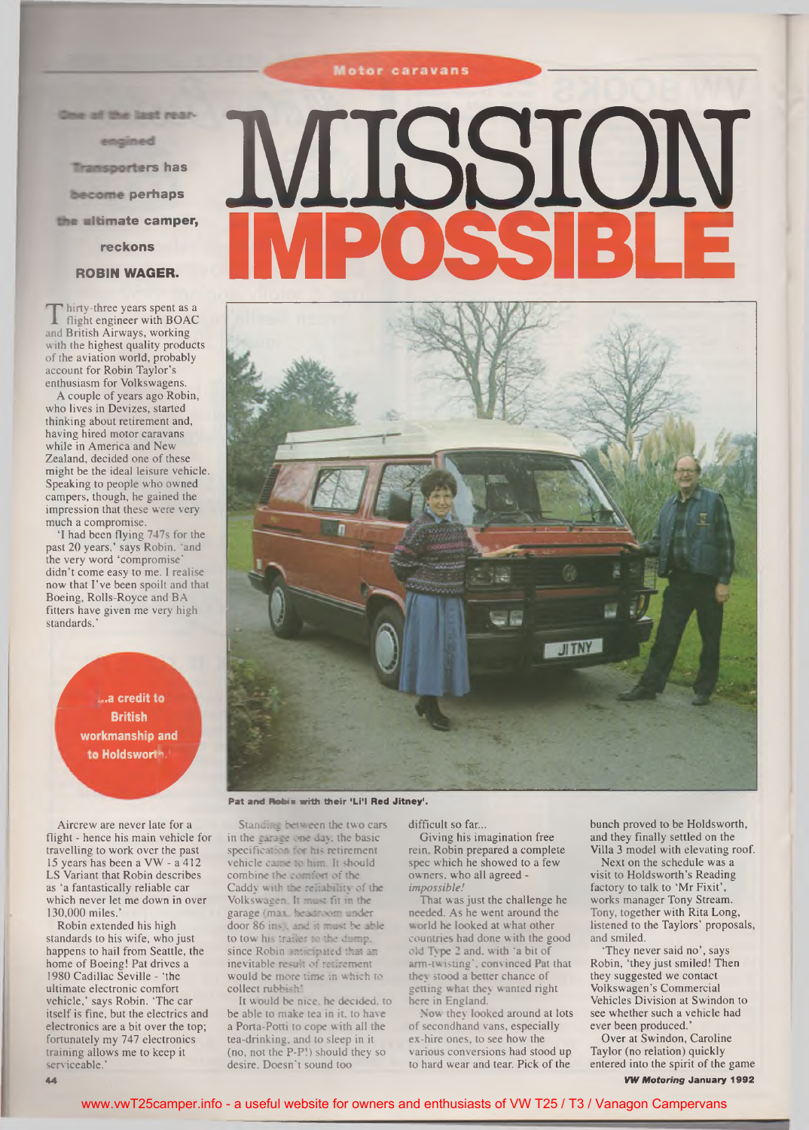# **Motor caravans**

One of the last rear-

engined

**Transporters has** 

become perhaps

the ultimate camper,

reckons

## ROBIN WAGER.

**T** hirty-three years spent as<br>flight engineer with BOA<br>and British Airways, working hirty-three years spent as a flight engineer with BOAC with the highest quality products of the aviation world, probably account for Robin Taylor's enthusiasm for Volkswagens.

A couple of years ago Robin, who lives in Devizes, started thinking about retirement and, having hired motor caravans while in America and New Zealand, decided one of these might be the ideal leisure vehicle. Speaking to people who owned campers, though, he gained the impression that these were very much a compromise.

'I had been flying 747s for the past 20 years,' says Robin, "and the very word 'compromise' didn't come easy to me. I realise now that I've been spoilt and that Boeing, Rolls-Royce and BA fitters have given me very high standards.'

> *d*..a credit t workmanship and **British Holdsworth.**<br>Holdsworth.<br>Williams

Aircrew are never late for a flight - hence his main vehicle for travelling to work over the past 15 years has been a VW - a 412 LS Variant that Robin describes as 'a fantastically reliable car which never let me down in over 130,000 miles.'

Robin extended his high standards to his wife, who just happens to hail from Seattle, the home of Boeing! Pat drives a 1980 Cadillac Seville - 'the ultimate electronic comfort vehicle,' says Robin. 'The car itself is fine, but the electrics and electronics are a bit over the top; fortunately my 747 electronics training allows me to keep it serviceable.'

# **MISSION** IMPOSSIBLE



Pat and Robin with their 'Li'l Red Jitney'.

Standing **between the two** cars in the garage **one day. the** basic specification **for his retirement** vehicle **came to him. It should** combine the comfort of the Caddy **with the reliability of the** Volkswagen. **It must fit in the** garage (max. **headroom under** door 86 ins), and it must be able to tow his trailer to the dump, since Robin anticipated that an inevitable result of retirement would be more time in which to collect rubbish'

It w ould be nice, he decided, to be able to make tea in it. to have a Porta-Potti to cope with all the tea-drinking, and to sleep in it (no, not the P-P!) should they so desire. Doesn't sound too

difficult so far...

Giving his imagination free rein, Robin prepared a complete spec which he showed to a few owners, who all agreed *impossible!*

That was just the challenge he needed. As he went around the **w** orld he looked at what other countries had done with the good old Type 2 and. with 'a bit of arm-twisting', convinced Pat that they stood a better chance of getting w hat they w anted right here in England.

Now they looked around at lots of secondhand vans, especially ex-hire ones, to see how the various conversions had stood up to hard wear and tear. Pick of the

bunch proved to be Holdsworth, and they finally settled on the Villa 3 model with elevating roof.

Next on the schedule was a visit to Holdsworth's Reading factory to talk to 'Mr Fixit', works manager Tony Stream. Tony, together with Rita Long, listened to the Taylors' proposals, and smiled.

'They never said no', says Robin, 'they just smiled! Then they suggested we contact Volkswagen's Commercial Vehicles Division at Swindon to see whether such a vehicle had ever been produced.'

Over at Swindon, Caroline Taylor (no relation) quickly entered into the spirit of the game *VW Motoring* January 1992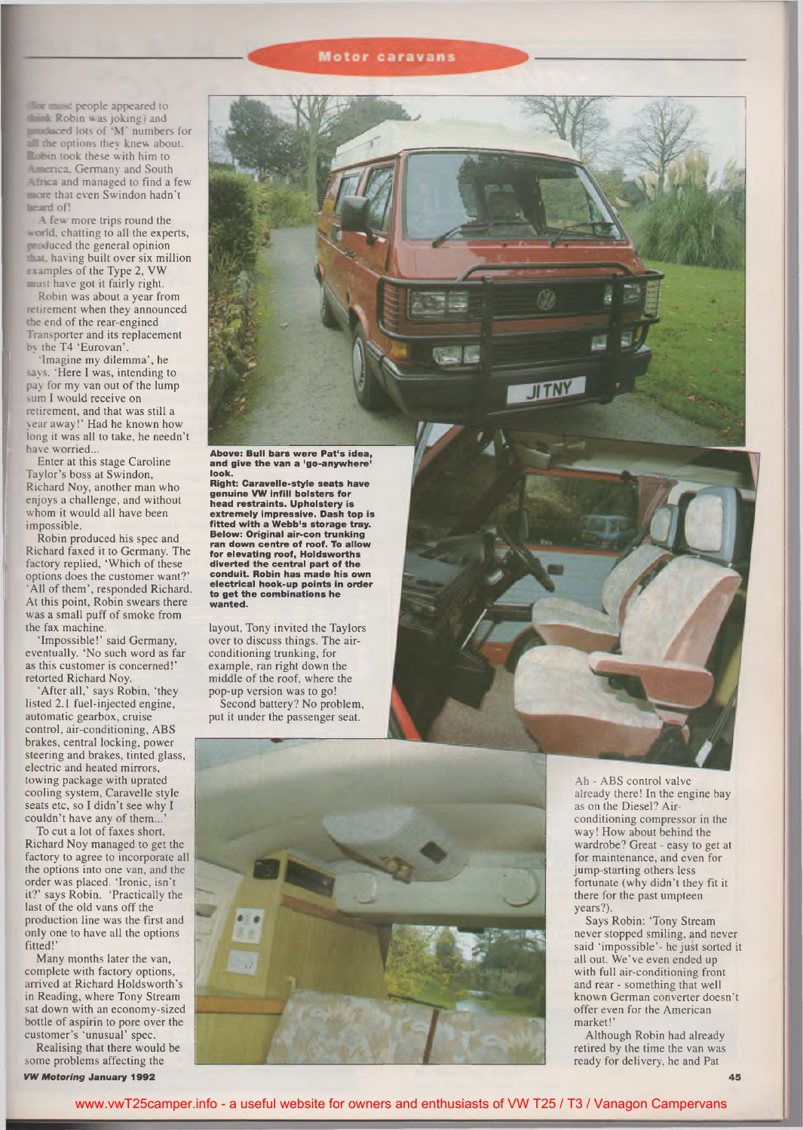### **Motor caravans**

the must people appeared to **\*Bik Robin was joking) and traduced** lots of M' numbers for *d* the options they knew about. **Room** took these with him to America, Germany and South **Africa** and managed to find a few more that even Swindon hadn't **heard** of!

A few more trips round the **world, chatting to all the experts, produced** the general opinion **that,** having built over six million examples of the Type 2, VW must have got it fairly right.

Robin was about a year from retirement when they announced **the** end of the rear-engined Transporter and its replacement by the T4 'Eurovan'.

"Imagine my dilemma', he says. 'Here I was, intending to pay for my van out of the lump sum I would receive on retirement, and that was still a year away!' Had he known how long it was all to take, he needn't have worried...

Enter at this stage Caroline Taylor's boss at Swindon, Richard Noy, another man who enjoys a challenge, and without whom it would all have been impossible.

Robin produced his spec and Richard faxed it to Germany. The factory replied, 'Which of these options does the customer want?' 'All of them', responded Richard. At this point, Robin swears there was a small puff of smoke from the fax machine.

'Impossible!' said Germany, eventually. 'No such word as far as this customer is concerned!' retorted Richard Noy.

'After all,' says Robin, 'they listed 2.1 fuel-injected engine, automatic gearbox, cruise control, air-conditioning, ABS brakes, central locking, power steering and brakes, tinted glass, electric and heated mirrors, towing package with uprated cooling system, Caravelle style seats etc, so I didn't see why I couldn't have any of them...

To cut a lot of faxes short, Richard Noy managed to get the factory to agree to incorporate all the options into one van, and the order was placed. 'Ironic, isn't it?' says Robin. 'Practically the last of the old vans off the production line was the first and only one to have all the options fitted!'

Many months later the van, complete with factory options, arrived at Richard Holdsworth's in Reading, where Tony Stream sat down with an economy-sized bottle of aspirin to pore over the customer's 'unusual' spec.

Realising that there would be some problems affecting the

*VW M otoring* **January 1992**

**Above: Bull bars w ere Pat's idea, and give the van a 'go-anyw here' look.**

**Right: Caravelle-style seats have genuine VW infill bolsters for head restraints. U pholstery is extrem ely im pressive. Dash top is fitted with a W ebb's storage tray. Below: Original air-con trunking ran down centre of roof. To allow for elevating roof, Holdsw orths diverted the central part of the conduit. Robin has m ade his own electrical hook-up points in order to get the com binations he wanted.**

layout, Tony invited the Taylors over to discuss things. The airconditioning trunking, for example, ran right down the middle of the roof, where the pop-up version was to go! Second battery? No problem,

put it under the passenger seat.



**JITN** 



Ah - ABS control valve already there! In the engine bay as on the Diesel? Airconditioning compressor in the way! How about behind the wardrobe? Great - easy to get at for maintenance, and even for jump-starting others less fortunate (why didn't they fit it there for the past umpteen years?)

Says Robin: 'Tony Stream never stopped smiling, and never said 'impossible'- he just sorted it all out. We've even ended up with full air-conditioning front and rear - something that well known German converter doesn't offer even for the American market!'

Although Robin had already retired by the time the van was ready for delivery, he and Pat